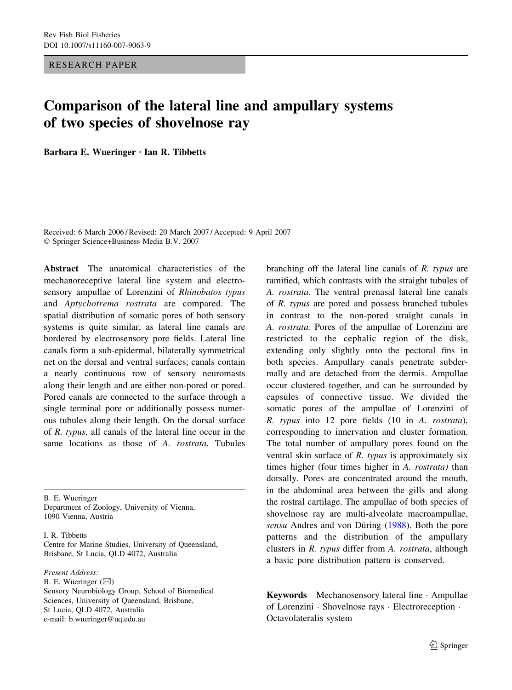RESEARCH PAPER

# Comparison of the lateral line and ampullary systems of two species of shovelnose ray

Barbara E. Wueringer  $\cdot$  Ian R. Tibbetts

Received: 6 March 2006 / Revised: 20 March 2007 / Accepted: 9 April 2007 Springer Science+Business Media B.V. 2007

Abstract The anatomical characteristics of the mechanoreceptive lateral line system and electrosensory ampullae of Lorenzini of Rhinobatos typus and Aptychotrema rostrata are compared. The spatial distribution of somatic pores of both sensory systems is quite similar, as lateral line canals are bordered by electrosensory pore fields. Lateral line canals form a sub-epidermal, bilaterally symmetrical net on the dorsal and ventral surfaces; canals contain a nearly continuous row of sensory neuromasts along their length and are either non-pored or pored. Pored canals are connected to the surface through a single terminal pore or additionally possess numerous tubules along their length. On the dorsal surface of R. typus, all canals of the lateral line occur in the same locations as those of A. *rostrata*. Tubules

B. E. Wueringer Department of Zoology, University of Vienna, 1090 Vienna, Austria

I. R. Tibbetts Centre for Marine Studies, University of Queensland, Brisbane, St Lucia, QLD 4072, Australia

Present Address:

B. E. Wueringer  $(\boxtimes)$ Sensory Neurobiology Group, School of Biomedical Sciences, University of Queensland, Brisbane, St Lucia, QLD 4072, Australia e-mail: b.wueringer@uq.edu.au

branching off the lateral line canals of R. typus are ramified, which contrasts with the straight tubules of A. rostrata. The ventral prenasal lateral line canals of R. typus are pored and possess branched tubules in contrast to the non-pored straight canals in A. rostrata. Pores of the ampullae of Lorenzini are restricted to the cephalic region of the disk, extending only slightly onto the pectoral fins in both species. Ampullary canals penetrate subdermally and are detached from the dermis. Ampullae occur clustered together, and can be surrounded by capsules of connective tissue. We divided the somatic pores of the ampullae of Lorenzini of R. typus into 12 pore fields (10 in A. rostrata), corresponding to innervation and cluster formation. The total number of ampullary pores found on the ventral skin surface of R. typus is approximately six times higher (four times higher in A. rostrata) than dorsally. Pores are concentrated around the mouth, in the abdominal area between the gills and along the rostral cartilage. The ampullae of both species of shovelnose ray are multi-alveolate macroampullae, sensu Andres and von Düring [\(1988](#page-15-0)). Both the pore patterns and the distribution of the ampullary clusters in R. typus differ from A. rostrata, although a basic pore distribution pattern is conserved.

Keywords Mechanosensory lateral line · Ampullae of Lorenzini · Shovelnose rays · Electroreception · Octavolateralis system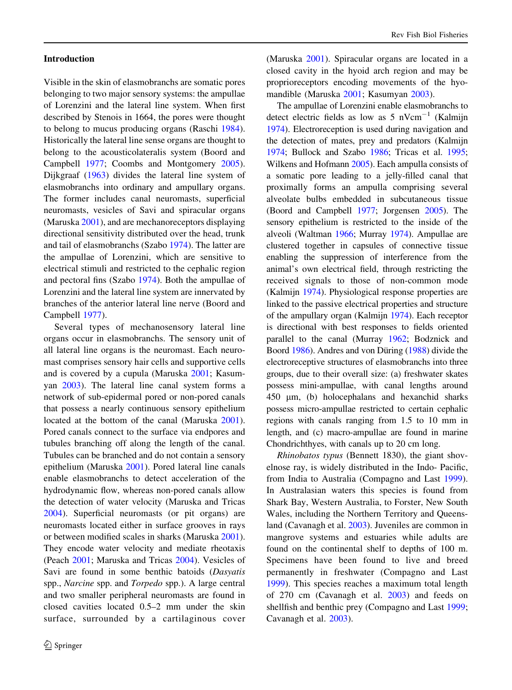## Introduction

Visible in the skin of elasmobranchs are somatic pores belonging to two major sensory systems: the ampullae of Lorenzini and the lateral line system. When first described by Stenois in 1664, the pores were thought to belong to mucus producing organs (Raschi [1984](#page-16-0)). Historically the lateral line sense organs are thought to belong to the acousticolateralis system (Boord and Campbell [1977](#page-15-0); Coombs and Montgomery [2005](#page-16-0)). Dijkgraaf [\(1963](#page-16-0)) divides the lateral line system of elasmobranchs into ordinary and ampullary organs. The former includes canal neuromasts, superficial neuromasts, vesicles of Savi and spiracular organs (Maruska [2001](#page-16-0)), and are mechanoreceptors displaying directional sensitivity distributed over the head, trunk and tail of elasmobranchs (Szabo [1974](#page-16-0)). The latter are the ampullae of Lorenzini, which are sensitive to electrical stimuli and restricted to the cephalic region and pectoral fins (Szabo [1974\)](#page-16-0). Both the ampullae of Lorenzini and the lateral line system are innervated by branches of the anterior lateral line nerve (Boord and Campbell [1977\)](#page-15-0).

Several types of mechanosensory lateral line organs occur in elasmobranchs. The sensory unit of all lateral line organs is the neuromast. Each neuromast comprises sensory hair cells and supportive cells and is covered by a cupula (Maruska [2001](#page-16-0); Kasumyan [2003\)](#page-16-0). The lateral line canal system forms a network of sub-epidermal pored or non-pored canals that possess a nearly continuous sensory epithelium located at the bottom of the canal (Maruska [2001](#page-16-0)). Pored canals connect to the surface via endpores and tubules branching off along the length of the canal. Tubules can be branched and do not contain a sensory epithelium (Maruska [2001\)](#page-16-0). Pored lateral line canals enable elasmobranchs to detect acceleration of the hydrodynamic flow, whereas non-pored canals allow the detection of water velocity (Maruska and Tricas [2004\)](#page-16-0). Superficial neuromasts (or pit organs) are neuromasts located either in surface grooves in rays or between modified scales in sharks (Maruska [2001](#page-16-0)). They encode water velocity and mediate rheotaxis (Peach [2001](#page-16-0); Maruska and Tricas [2004\)](#page-16-0). Vesicles of Savi are found in some benthic batoids (Dasyatis spp., Narcine spp. and Torpedo spp.). A large central and two smaller peripheral neuromasts are found in closed cavities located 0.5–2 mm under the skin surface, surrounded by a cartilaginous cover (Maruska [2001](#page-16-0)). Spiracular organs are located in a closed cavity in the hyoid arch region and may be proprioreceptors encoding movements of the hyomandible (Maruska [2001](#page-16-0); Kasumyan [2003](#page-16-0)).

The ampullae of Lorenzini enable elasmobranchs to detect electric fields as low as  $5 \text{ nVcm}^{-1}$  (Kalmijn [1974](#page-16-0)). Electroreception is used during navigation and the detection of mates, prey and predators (Kalmijn [1974](#page-16-0); Bullock and Szabo [1986](#page-15-0); Tricas et al. [1995](#page-16-0); Wilkens and Hofmann [2005](#page-17-0)). Each ampulla consists of a somatic pore leading to a jelly-filled canal that proximally forms an ampulla comprising several alveolate bulbs embedded in subcutaneous tissue (Boord and Campbell [1977](#page-15-0); Jorgensen [2005\)](#page-16-0). The sensory epithelium is restricted to the inside of the alveoli (Waltman [1966;](#page-17-0) Murray [1974\)](#page-16-0). Ampullae are clustered together in capsules of connective tissue enabling the suppression of interference from the animal's own electrical field, through restricting the received signals to those of non-common mode (Kalmijn [1974](#page-16-0)). Physiological response properties are linked to the passive electrical properties and structure of the ampullary organ (Kalmijn [1974\)](#page-16-0). Each receptor is directional with best responses to fields oriented parallel to the canal (Murray [1962;](#page-16-0) Bodznick and Boord [1986](#page-15-0)). Andres and von Düring [\(1988\)](#page-15-0) divide the electroreceptive structures of elasmobranchs into three groups, due to their overall size: (a) freshwater skates possess mini-ampullae, with canal lengths around  $450 \mu m$ , (b) holocephalans and hexanchid sharks possess micro-ampullae restricted to certain cephalic regions with canals ranging from 1.5 to 10 mm in length, and (c) macro-ampullae are found in marine Chondrichthyes, with canals up to 20 cm long.

Rhinobatos typus (Bennett 1830), the giant shovelnose ray, is widely distributed in the Indo- Pacific, from India to Australia (Compagno and Last [1999](#page-15-0)). In Australasian waters this species is found from Shark Bay, Western Australia, to Forster, New South Wales, including the Northern Territory and Queensland (Cavanagh et al. [2003](#page-15-0)). Juveniles are common in mangrove systems and estuaries while adults are found on the continental shelf to depths of 100 m. Specimens have been found to live and breed permanently in freshwater (Compagno and Last [1999\)](#page-15-0). This species reaches a maximum total length of 270 cm (Cavanagh et al. [2003\)](#page-15-0) and feeds on shellfish and benthic prey (Compagno and Last [1999;](#page-15-0) Cavanagh et al. [2003\)](#page-15-0).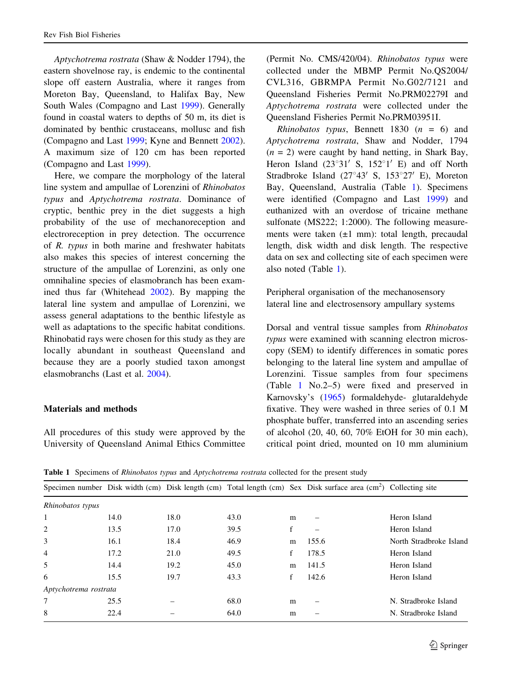<span id="page-2-0"></span>Aptychotrema rostrata (Shaw & Nodder 1794), the eastern shovelnose ray, is endemic to the continental slope off eastern Australia, where it ranges from Moreton Bay, Queensland, to Halifax Bay, New South Wales (Compagno and Last [1999](#page-15-0)). Generally found in coastal waters to depths of 50 m, its diet is dominated by benthic crustaceans, mollusc and fish (Compagno and Last [1999;](#page-15-0) Kyne and Bennett [2002](#page-16-0)). A maximum size of 120 cm has been reported (Compagno and Last [1999\)](#page-15-0).

Here, we compare the morphology of the lateral line system and ampullae of Lorenzini of Rhinobatos typus and Aptychotrema rostrata. Dominance of cryptic, benthic prey in the diet suggests a high probability of the use of mechanoreception and electroreception in prey detection. The occurrence of R. typus in both marine and freshwater habitats also makes this species of interest concerning the structure of the ampullae of Lorenzini, as only one omnihaline species of elasmobranch has been examined thus far (Whitehead [2002\)](#page-17-0). By mapping the lateral line system and ampullae of Lorenzini, we assess general adaptations to the benthic lifestyle as well as adaptations to the specific habitat conditions. Rhinobatid rays were chosen for this study as they are locally abundant in southeast Queensland and because they are a poorly studied taxon amongst elasmobranchs (Last et al. [2004](#page-16-0)).

#### Materials and methods

All procedures of this study were approved by the University of Queensland Animal Ethics Committee (Permit No. CMS/420/04). Rhinobatos typus were collected under the MBMP Permit No.QS2004/ CVL316, GBRMPA Permit No.G02/7121 and Queensland Fisheries Permit No.PRM02279I and Aptychotrema rostrata were collected under the Queensland Fisheries Permit No.PRM03951I.

Rhinobatos typus, Bennett 1830  $(n = 6)$  and Aptychotrema rostrata, Shaw and Nodder, 1794  $(n = 2)$  were caught by hand netting, in Shark Bay, Heron Island  $(23°31' S, 152°1' E)$  and off North Stradbroke Island  $(27°43'$  S,  $153°27'$  E), Moreton Bay, Queensland, Australia (Table 1). Specimens were identified (Compagno and Last [1999\)](#page-15-0) and euthanized with an overdose of tricaine methane sulfonate (MS222; 1:2000). The following measurements were taken  $(\pm 1 \text{ mm})$ : total length, precaudal length, disk width and disk length. The respective data on sex and collecting site of each specimen were also noted (Table 1).

Peripheral organisation of the mechanosensory lateral line and electrosensory ampullary systems

Dorsal and ventral tissue samples from Rhinobatos typus were examined with scanning electron microscopy (SEM) to identify differences in somatic pores belonging to the lateral line system and ampullae of Lorenzini. Tissue samples from four specimens (Table 1 No.2–5) were fixed and preserved in Karnovsky's ([1965\)](#page-16-0) formaldehyde- glutaraldehyde fixative. They were washed in three series of 0.1 M phosphate buffer, transferred into an ascending series of alcohol (20, 40, 60, 70% EtOH for 30 min each), critical point dried, mounted on 10 mm aluminium

Table 1 Specimens of *Rhinobatos typus* and *Aptychotrema rostrata* collected for the present study

|                       |      |      |      |   | Specimen number Disk width (cm) Disk length (cm) Total length (cm) Sex Disk surface area $(cm^2)$ Collecting site |                         |
|-----------------------|------|------|------|---|-------------------------------------------------------------------------------------------------------------------|-------------------------|
| Rhinobatos typus      |      |      |      |   |                                                                                                                   |                         |
| 1                     | 14.0 | 18.0 | 43.0 | m |                                                                                                                   | Heron Island            |
| 2                     | 13.5 | 17.0 | 39.5 | f | -                                                                                                                 | Heron Island            |
| 3                     | 16.1 | 18.4 | 46.9 | m | 155.6                                                                                                             | North Stradbroke Island |
| 4                     | 17.2 | 21.0 | 49.5 | f | 178.5                                                                                                             | Heron Island            |
| 5                     | 14.4 | 19.2 | 45.0 | m | 141.5                                                                                                             | Heron Island            |
| 6                     | 15.5 | 19.7 | 43.3 | f | 142.6                                                                                                             | Heron Island            |
| Aptychotrema rostrata |      |      |      |   |                                                                                                                   |                         |
| 7                     | 25.5 |      | 68.0 | m | -                                                                                                                 | N. Stradbroke Island    |
| 8                     | 22.4 |      | 64.0 | m |                                                                                                                   | N. Stradbroke Island    |
|                       |      |      |      |   |                                                                                                                   |                         |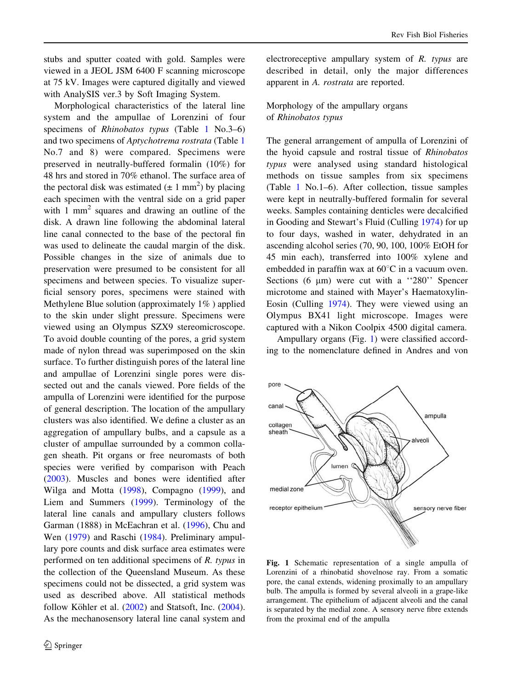<span id="page-3-0"></span>stubs and sputter coated with gold. Samples were viewed in a JEOL JSM 6400 F scanning microscope at 75 kV. Images were captured digitally and viewed with AnalySIS ver.3 by Soft Imaging System.

Morphological characteristics of the lateral line system and the ampullae of Lorenzini of four specimens of *Rhinobatos typus* (Table [1](#page-2-0) No.3–6) and two specimens of Aptychotrema rostrata (Table [1](#page-2-0) No.7 and 8) were compared. Specimens were preserved in neutrally-buffered formalin (10%) for 48 hrs and stored in 70% ethanol. The surface area of the pectoral disk was estimated  $(\pm 1 \text{ mm}^2)$  by placing each specimen with the ventral side on a grid paper with 1  $mm<sup>2</sup>$  squares and drawing an outline of the disk. A drawn line following the abdominal lateral line canal connected to the base of the pectoral fin was used to delineate the caudal margin of the disk. Possible changes in the size of animals due to preservation were presumed to be consistent for all specimens and between species. To visualize superficial sensory pores, specimens were stained with Methylene Blue solution (approximately 1% ) applied to the skin under slight pressure. Specimens were viewed using an Olympus SZX9 stereomicroscope. To avoid double counting of the pores, a grid system made of nylon thread was superimposed on the skin surface. To further distinguish pores of the lateral line and ampullae of Lorenzini single pores were dissected out and the canals viewed. Pore fields of the ampulla of Lorenzini were identified for the purpose of general description. The location of the ampullary clusters was also identified. We define a cluster as an aggregation of ampullary bulbs, and a capsule as a cluster of ampullae surrounded by a common collagen sheath. Pit organs or free neuromasts of both species were verified by comparison with Peach [\(2003](#page-16-0)). Muscles and bones were identified after Wilga and Motta ([1998\)](#page-17-0), Compagno ([1999\)](#page-15-0), and Liem and Summers [\(1999\)](#page-16-0). Terminology of the lateral line canals and ampullary clusters follows Garman (1888) in McEachran et al. ([1996\)](#page-16-0), Chu and Wen ([1979\)](#page-15-0) and Raschi ([1984\)](#page-16-0). Preliminary ampullary pore counts and disk surface area estimates were performed on ten additional specimens of R. typus in the collection of the Queensland Museum. As these specimens could not be dissected, a grid system was used as described above. All statistical methods follow Köhler et al.  $(2002)$  $(2002)$  and Statsoft, Inc.  $(2004)$  $(2004)$ . As the mechanosensory lateral line canal system and electroreceptive ampullary system of R. typus are described in detail, only the major differences apparent in A. rostrata are reported.

Morphology of the ampullary organs of Rhinobatos typus

The general arrangement of ampulla of Lorenzini of the hyoid capsule and rostral tissue of Rhinobatos typus were analysed using standard histological methods on tissue samples from six specimens (Table [1](#page-2-0) No.1–6). After collection, tissue samples were kept in neutrally-buffered formalin for several weeks. Samples containing denticles were decalcified in Gooding and Stewart's Fluid (Culling [1974](#page-16-0)) for up to four days, washed in water, dehydrated in an ascending alcohol series (70, 90, 100, 100% EtOH for 45 min each), transferred into 100% xylene and embedded in paraffin wax at  $60^{\circ}$ C in a vacuum oven. Sections  $(6 \mu m)$  were cut with a "280" Spencer microtome and stained with Mayer's Haematoxylin-Eosin (Culling [1974\)](#page-16-0). They were viewed using an Olympus BX41 light microscope. Images were captured with a Nikon Coolpix 4500 digital camera.

Ampullary organs (Fig. 1) were classified according to the nomenclature defined in Andres and von



Fig. 1 Schematic representation of a single ampulla of Lorenzini of a rhinobatid shovelnose ray. From a somatic pore, the canal extends, widening proximally to an ampullary bulb. The ampulla is formed by several alveoli in a grape-like arrangement. The epithelium of adjacent alveoli and the canal is separated by the medial zone. A sensory nerve fibre extends from the proximal end of the ampulla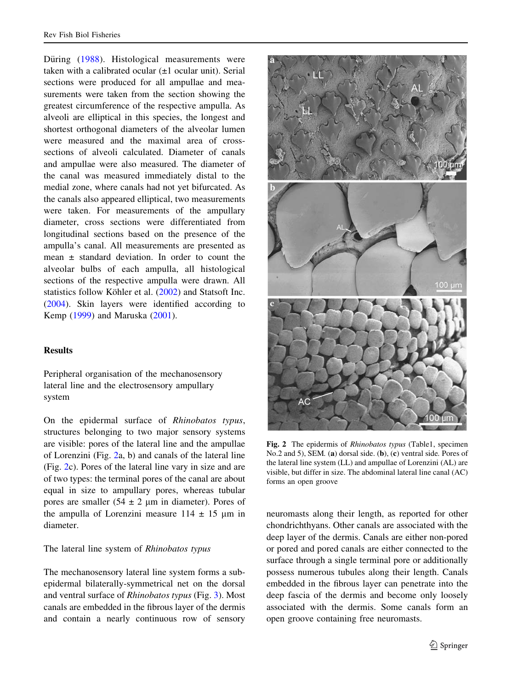<span id="page-4-0"></span>Düring ([1988\)](#page-15-0). Histological measurements were taken with a calibrated ocular  $(\pm 1)$  ocular unit). Serial sections were produced for all ampullae and measurements were taken from the section showing the greatest circumference of the respective ampulla. As alveoli are elliptical in this species, the longest and shortest orthogonal diameters of the alveolar lumen were measured and the maximal area of crosssections of alveoli calculated. Diameter of canals and ampullae were also measured. The diameter of the canal was measured immediately distal to the medial zone, where canals had not yet bifurcated. As the canals also appeared elliptical, two measurements were taken. For measurements of the ampullary diameter, cross sections were differentiated from longitudinal sections based on the presence of the ampulla's canal. All measurements are presented as mean  $\pm$  standard deviation. In order to count the alveolar bulbs of each ampulla, all histological sections of the respective ampulla were drawn. All statistics follow Köhler et al.  $(2002)$  $(2002)$  and Statsoft Inc. [\(2004](#page-16-0)). Skin layers were identified according to Kemp ([1999\)](#page-16-0) and Maruska ([2001\)](#page-16-0).

# **Results**

Peripheral organisation of the mechanosensory lateral line and the electrosensory ampullary system

On the epidermal surface of Rhinobatos typus, structures belonging to two major sensory systems are visible: pores of the lateral line and the ampullae of Lorenzini (Fig. 2a, b) and canals of the lateral line (Fig. 2c). Pores of the lateral line vary in size and are of two types: the terminal pores of the canal are about equal in size to ampullary pores, whereas tubular pores are smaller  $(54 \pm 2 \mu m)$  in diameter). Pores of the ampulla of Lorenzini measure  $114 \pm 15$  µm in diameter.

#### The lateral line system of Rhinobatos typus

The mechanosensory lateral line system forms a subepidermal bilaterally-symmetrical net on the dorsal and ventral surface of Rhinobatos typus (Fig. [3\)](#page-5-0). Most canals are embedded in the fibrous layer of the dermis and contain a nearly continuous row of sensory



Fig. 2 The epidermis of Rhinobatos typus (Table1, specimen No.2 and 5), SEM. (a) dorsal side. (b), (c) ventral side. Pores of the lateral line system (LL) and ampullae of Lorenzini (AL) are visible, but differ in size. The abdominal lateral line canal (AC) forms an open groove

neuromasts along their length, as reported for other chondrichthyans. Other canals are associated with the deep layer of the dermis. Canals are either non-pored or pored and pored canals are either connected to the surface through a single terminal pore or additionally possess numerous tubules along their length. Canals embedded in the fibrous layer can penetrate into the deep fascia of the dermis and become only loosely associated with the dermis. Some canals form an open groove containing free neuromasts.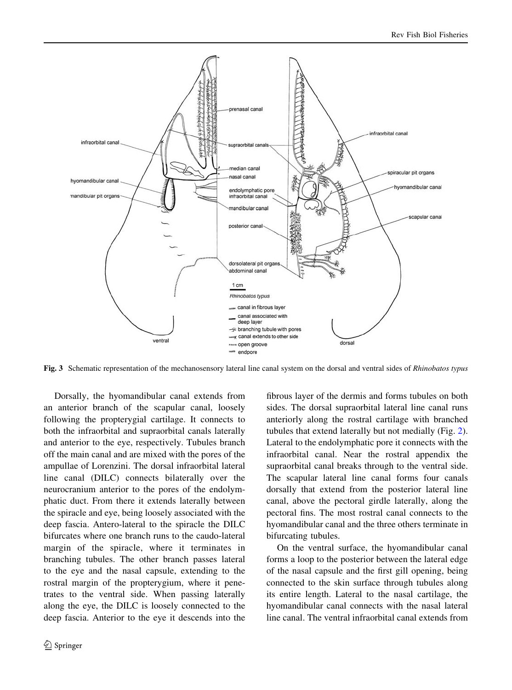<span id="page-5-0"></span>

Fig. 3 Schematic representation of the mechanosensory lateral line canal system on the dorsal and ventral sides of Rhinobatos typus

Dorsally, the hyomandibular canal extends from an anterior branch of the scapular canal, loosely following the propterygial cartilage. It connects to both the infraorbital and supraorbital canals laterally and anterior to the eye, respectively. Tubules branch off the main canal and are mixed with the pores of the ampullae of Lorenzini. The dorsal infraorbital lateral line canal (DILC) connects bilaterally over the neurocranium anterior to the pores of the endolymphatic duct. From there it extends laterally between the spiracle and eye, being loosely associated with the deep fascia. Antero-lateral to the spiracle the DILC bifurcates where one branch runs to the caudo-lateral margin of the spiracle, where it terminates in branching tubules. The other branch passes lateral to the eye and the nasal capsule, extending to the rostral margin of the propterygium, where it penetrates to the ventral side. When passing laterally along the eye, the DILC is loosely connected to the deep fascia. Anterior to the eye it descends into the fibrous layer of the dermis and forms tubules on both sides. The dorsal supraorbital lateral line canal runs anteriorly along the rostral cartilage with branched tubules that extend laterally but not medially (Fig. [2](#page-4-0)). Lateral to the endolymphatic pore it connects with the infraorbital canal. Near the rostral appendix the supraorbital canal breaks through to the ventral side. The scapular lateral line canal forms four canals dorsally that extend from the posterior lateral line canal, above the pectoral girdle laterally, along the pectoral fins. The most rostral canal connects to the hyomandibular canal and the three others terminate in bifurcating tubules.

On the ventral surface, the hyomandibular canal forms a loop to the posterior between the lateral edge of the nasal capsule and the first gill opening, being connected to the skin surface through tubules along its entire length. Lateral to the nasal cartilage, the hyomandibular canal connects with the nasal lateral line canal. The ventral infraorbital canal extends from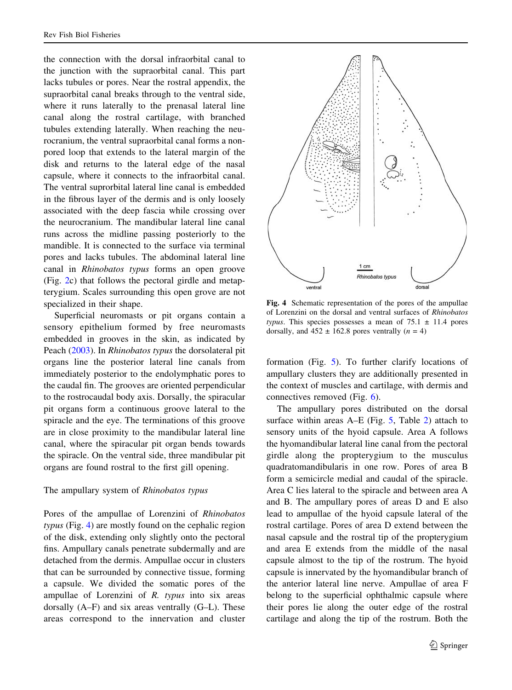<span id="page-6-0"></span>the connection with the dorsal infraorbital canal to the junction with the supraorbital canal. This part lacks tubules or pores. Near the rostral appendix, the supraorbital canal breaks through to the ventral side, where it runs laterally to the prenasal lateral line canal along the rostral cartilage, with branched tubules extending laterally. When reaching the neurocranium, the ventral supraorbital canal forms a nonpored loop that extends to the lateral margin of the disk and returns to the lateral edge of the nasal capsule, where it connects to the infraorbital canal. The ventral suprorbital lateral line canal is embedded in the fibrous layer of the dermis and is only loosely associated with the deep fascia while crossing over the neurocranium. The mandibular lateral line canal runs across the midline passing posteriorly to the mandible. It is connected to the surface via terminal pores and lacks tubules. The abdominal lateral line canal in Rhinobatos typus forms an open groove (Fig. [2](#page-4-0)c) that follows the pectoral girdle and metapterygium. Scales surrounding this open grove are not specialized in their shape.

Superficial neuromasts or pit organs contain a sensory epithelium formed by free neuromasts embedded in grooves in the skin, as indicated by Peach [\(2003](#page-16-0)). In Rhinobatos typus the dorsolateral pit organs line the posterior lateral line canals from immediately posterior to the endolymphatic pores to the caudal fin. The grooves are oriented perpendicular to the rostrocaudal body axis. Dorsally, the spiracular pit organs form a continuous groove lateral to the spiracle and the eye. The terminations of this groove are in close proximity to the mandibular lateral line canal, where the spiracular pit organ bends towards the spiracle. On the ventral side, three mandibular pit organs are found rostral to the first gill opening.

#### The ampullary system of Rhinobatos typus

Pores of the ampullae of Lorenzini of Rhinobatos typus (Fig. 4) are mostly found on the cephalic region of the disk, extending only slightly onto the pectoral fins. Ampullary canals penetrate subdermally and are detached from the dermis. Ampullae occur in clusters that can be surrounded by connective tissue, forming a capsule. We divided the somatic pores of the ampullae of Lorenzini of  $R$ . typus into six areas dorsally (A–F) and six areas ventrally (G–L). These areas correspond to the innervation and cluster



Fig. 4 Schematic representation of the pores of the ampullae of Lorenzini on the dorsal and ventral surfaces of Rhinobatos typus. This species possesses a mean of  $75.1 \pm 11.4$  pores dorsally, and  $452 \pm 162.8$  pores ventrally  $(n = 4)$ 

formation (Fig. [5](#page-7-0)). To further clarify locations of ampullary clusters they are additionally presented in the context of muscles and cartilage, with dermis and connectives removed (Fig. [6](#page-8-0)).

The ampullary pores distributed on the dorsal surface within areas  $A$ –E (Fig. [5](#page-7-0), Table [2\)](#page-8-0) attach to sensory units of the hyoid capsule. Area A follows the hyomandibular lateral line canal from the pectoral girdle along the propterygium to the musculus quadratomandibularis in one row. Pores of area B form a semicircle medial and caudal of the spiracle. Area C lies lateral to the spiracle and between area A and B. The ampullary pores of areas D and E also lead to ampullae of the hyoid capsule lateral of the rostral cartilage. Pores of area D extend between the nasal capsule and the rostral tip of the propterygium and area E extends from the middle of the nasal capsule almost to the tip of the rostrum. The hyoid capsule is innervated by the hyomandibular branch of the anterior lateral line nerve. Ampullae of area F belong to the superficial ophthalmic capsule where their pores lie along the outer edge of the rostral cartilage and along the tip of the rostrum. Both the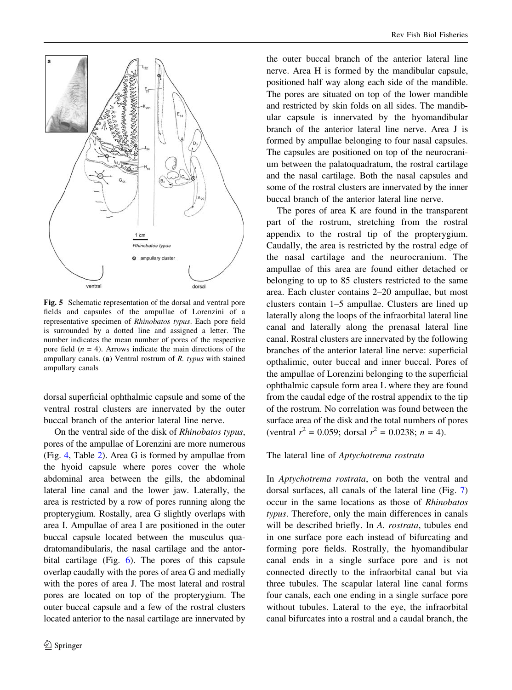<span id="page-7-0"></span>

Fig. 5 Schematic representation of the dorsal and ventral pore fields and capsules of the ampullae of Lorenzini of a representative specimen of Rhinobatos typus. Each pore field is surrounded by a dotted line and assigned a letter. The number indicates the mean number of pores of the respective pore field  $(n = 4)$ . Arrows indicate the main directions of the ampullary canals. (a) Ventral rostrum of R. typus with stained ampullary canals

dorsal superficial ophthalmic capsule and some of the ventral rostral clusters are innervated by the outer buccal branch of the anterior lateral line nerve.

On the ventral side of the disk of Rhinobatos typus, pores of the ampullae of Lorenzini are more numerous (Fig. [4](#page-6-0), Table [2](#page-8-0)). Area G is formed by ampullae from the hyoid capsule where pores cover the whole abdominal area between the gills, the abdominal lateral line canal and the lower jaw. Laterally, the area is restricted by a row of pores running along the propterygium. Rostally, area G slightly overlaps with area I. Ampullae of area I are positioned in the outer buccal capsule located between the musculus quadratomandibularis, the nasal cartilage and the antorbital cartilage (Fig. [6](#page-8-0)). The pores of this capsule overlap caudally with the pores of area G and medially with the pores of area J. The most lateral and rostral pores are located on top of the propterygium. The outer buccal capsule and a few of the rostral clusters located anterior to the nasal cartilage are innervated by the outer buccal branch of the anterior lateral line nerve. Area H is formed by the mandibular capsule, positioned half way along each side of the mandible. The pores are situated on top of the lower mandible and restricted by skin folds on all sides. The mandibular capsule is innervated by the hyomandibular branch of the anterior lateral line nerve. Area J is formed by ampullae belonging to four nasal capsules. The capsules are positioned on top of the neurocranium between the palatoquadratum, the rostral cartilage and the nasal cartilage. Both the nasal capsules and some of the rostral clusters are innervated by the inner buccal branch of the anterior lateral line nerve.

The pores of area K are found in the transparent part of the rostrum, stretching from the rostral appendix to the rostral tip of the propterygium. Caudally, the area is restricted by the rostral edge of the nasal cartilage and the neurocranium. The ampullae of this area are found either detached or belonging to up to 85 clusters restricted to the same area. Each cluster contains 2–20 ampullae, but most clusters contain 1–5 ampullae. Clusters are lined up laterally along the loops of the infraorbital lateral line canal and laterally along the prenasal lateral line canal. Rostral clusters are innervated by the following branches of the anterior lateral line nerve: superficial opthalimic, outer buccal and inner buccal. Pores of the ampullae of Lorenzini belonging to the superficial ophthalmic capsule form area L where they are found from the caudal edge of the rostral appendix to the tip of the rostrum. No correlation was found between the surface area of the disk and the total numbers of pores (ventral  $r^2 = 0.059$ ; dorsal  $r^2 = 0.0238$ ;  $n = 4$ ).

#### The lateral line of Aptychotrema rostrata

In Aptychotrema rostrata, on both the ventral and dorsal surfaces, all canals of the lateral line (Fig. [7\)](#page-9-0) occur in the same locations as those of Rhinobatos typus. Therefore, only the main differences in canals will be described briefly. In A. rostrata, tubules end in one surface pore each instead of bifurcating and forming pore fields. Rostrally, the hyomandibular canal ends in a single surface pore and is not connected directly to the infraorbital canal but via three tubules. The scapular lateral line canal forms four canals, each one ending in a single surface pore without tubules. Lateral to the eye, the infraorbital canal bifurcates into a rostral and a caudal branch, the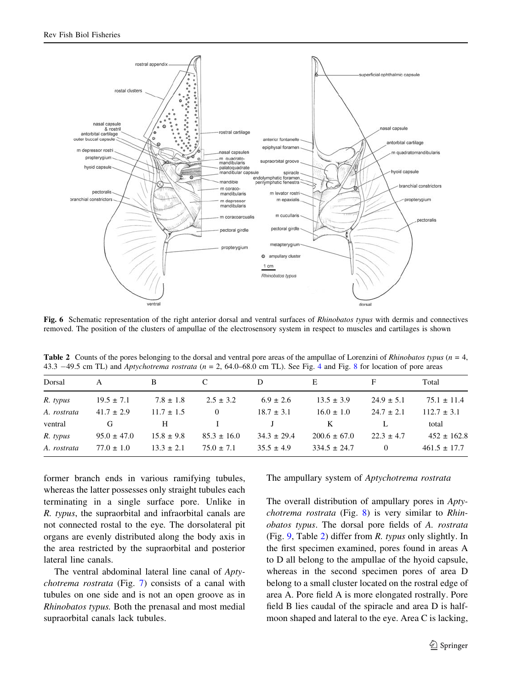<span id="page-8-0"></span>

Fig. 6 Schematic representation of the right anterior dorsal and ventral surfaces of Rhinobatos typus with dermis and connectives removed. The position of the clusters of ampullae of the electrosensory system in respect to muscles and cartilages is shown

**Table 2** Counts of the pores belonging to the dorsal and ventral pore areas of the ampullae of Lorenzini of *Rhinobatos typus* ( $n = 4$ , [4](#page-6-0)3.3  $-49.5$  cm TL) and *Aptychotrema rostrata* ( $n = 2, 64.0-68.0$  $n = 2, 64.0-68.0$  $n = 2, 64.0-68.0$  cm TL). See Fig. 4 and Fig. 8 for location of pore areas

| Dorsal      | A               | В              |                 | Ð               | Е                | F              | Total            |
|-------------|-----------------|----------------|-----------------|-----------------|------------------|----------------|------------------|
| R. typus    | $19.5 \pm 7.1$  | $7.8 \pm 1.8$  | $2.5 \pm 3.2$   | $6.9 \pm 2.6$   | $13.5 \pm 3.9$   | $24.9 \pm 5.1$ | $75.1 \pm 11.4$  |
| A. rostrata | $41.7 \pm 2.9$  | $11.7 \pm 1.5$ | 0               | $18.7 \pm 3.1$  | $16.0 \pm 1.0$   | $24.7 \pm 2.1$ | $112.7 \pm 3.1$  |
| ventral     | G               | H              |                 |                 | К                |                | total            |
| R. typus    | $95.0 \pm 47.0$ | $15.8 \pm 9.8$ | $85.3 \pm 16.0$ | $34.3 \pm 29.4$ | $200.6 \pm 67.0$ | $22.3 \pm 4.7$ | $452 \pm 162.8$  |
| A. rostrata | $77.0 \pm 1.0$  | $13.3 \pm 2.1$ | $75.0 \pm 7.1$  | $35.5 \pm 4.9$  | $334.5 \pm 24.7$ | $\theta$       | $461.5 \pm 17.7$ |

former branch ends in various ramifying tubules, whereas the latter possesses only straight tubules each terminating in a single surface pore. Unlike in R. typus, the supraorbital and infraorbital canals are not connected rostal to the eye. The dorsolateral pit organs are evenly distributed along the body axis in the area restricted by the supraorbital and posterior lateral line canals.

The ventral abdominal lateral line canal of *Apty*chotrema rostrata (Fig. [7\)](#page-9-0) consists of a canal with tubules on one side and is not an open groove as in Rhinobatos typus. Both the prenasal and most medial supraorbital canals lack tubules.

The ampullary system of Aptychotrema rostrata

The overall distribution of ampullary pores in Aptychotrema rostrata (Fig.  $8$ ) is very similar to Rhinobatos typus. The dorsal pore fields of A. rostrata (Fig. [9,](#page-10-0) Table 2) differ from R. typus only slightly. In the first specimen examined, pores found in areas A to D all belong to the ampullae of the hyoid capsule, whereas in the second specimen pores of area D belong to a small cluster located on the rostral edge of area A. Pore field A is more elongated rostrally. Pore field B lies caudal of the spiracle and area D is halfmoon shaped and lateral to the eye. Area C is lacking,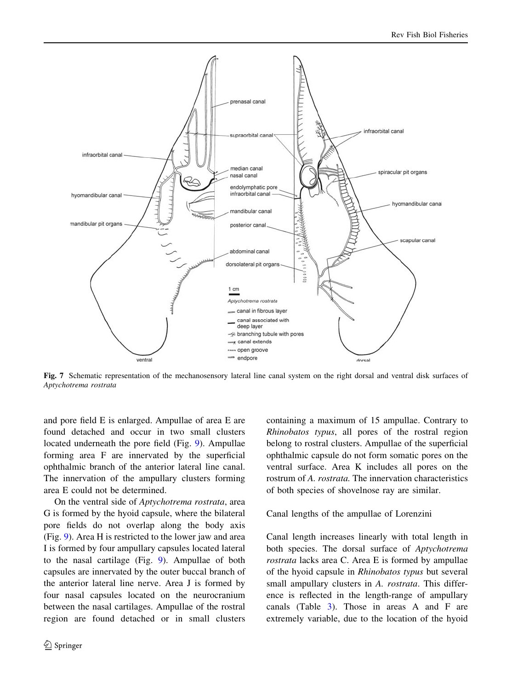<span id="page-9-0"></span>

Fig. 7 Schematic representation of the mechanosensory lateral line canal system on the right dorsal and ventral disk surfaces of Aptychotrema rostrata

and pore field E is enlarged. Ampullae of area E are found detached and occur in two small clusters located underneath the pore field (Fig. [9](#page-10-0)). Ampullae forming area F are innervated by the superficial ophthalmic branch of the anterior lateral line canal. The innervation of the ampullary clusters forming area E could not be determined.

On the ventral side of Aptychotrema rostrata, area G is formed by the hyoid capsule, where the bilateral pore fields do not overlap along the body axis (Fig. [9](#page-10-0)). Area H is restricted to the lower jaw and area I is formed by four ampullary capsules located lateral to the nasal cartilage (Fig. [9](#page-10-0)). Ampullae of both capsules are innervated by the outer buccal branch of the anterior lateral line nerve. Area J is formed by four nasal capsules located on the neurocranium between the nasal cartilages. Ampullae of the rostral region are found detached or in small clusters containing a maximum of 15 ampullae. Contrary to Rhinobatos typus, all pores of the rostral region belong to rostral clusters. Ampullae of the superficial ophthalmic capsule do not form somatic pores on the ventral surface. Area K includes all pores on the rostrum of A. rostrata. The innervation characteristics of both species of shovelnose ray are similar.

#### Canal lengths of the ampullae of Lorenzini

Canal length increases linearly with total length in both species. The dorsal surface of Aptychotrema rostrata lacks area C. Area E is formed by ampullae of the hyoid capsule in Rhinobatos typus but several small ampullary clusters in A. rostrata. This difference is reflected in the length-range of ampullary canals (Table [3\)](#page-11-0). Those in areas A and F are extremely variable, due to the location of the hyoid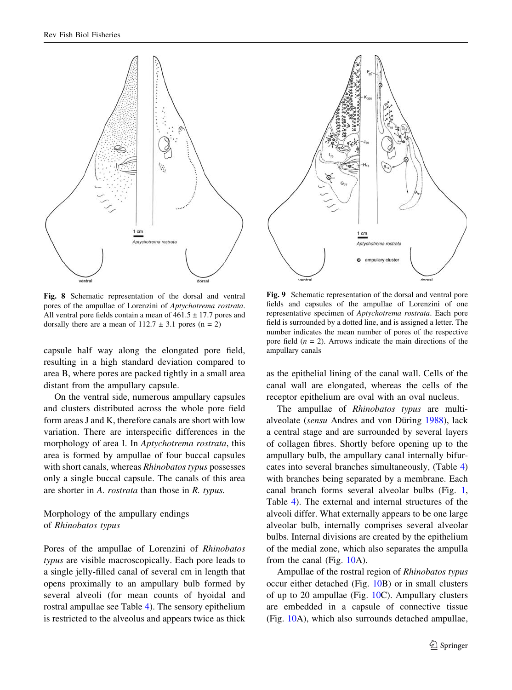<span id="page-10-0"></span>

Fig. 8 Schematic representation of the dorsal and ventral pores of the ampullae of Lorenzini of Aptychotrema rostrata. All ventral pore fields contain a mean of  $461.5 \pm 17.7$  pores and dorsally there are a mean of  $112.7 \pm 3.1$  pores (n = 2)

capsule half way along the elongated pore field, resulting in a high standard deviation compared to area B, where pores are packed tightly in a small area distant from the ampullary capsule.

On the ventral side, numerous ampullary capsules and clusters distributed across the whole pore field form areas J and K, therefore canals are short with low variation. There are interspecific differences in the morphology of area I. In Aptychotrema rostrata, this area is formed by ampullae of four buccal capsules with short canals, whereas Rhinobatos typus possesses only a single buccal capsule. The canals of this area are shorter in A. rostrata than those in R. typus.

# Morphology of the ampullary endings of Rhinobatos typus

Pores of the ampullae of Lorenzini of Rhinobatos typus are visible macroscopically. Each pore leads to a single jelly-filled canal of several cm in length that opens proximally to an ampullary bulb formed by several alveoli (for mean counts of hyoidal and rostral ampullae see Table [4\)](#page-11-0). The sensory epithelium is restricted to the alveolus and appears twice as thick



Fig. 9 Schematic representation of the dorsal and ventral pore fields and capsules of the ampullae of Lorenzini of one representative specimen of Aptychotrema rostrata. Each pore field is surrounded by a dotted line, and is assigned a letter. The number indicates the mean number of pores of the respective pore field  $(n = 2)$ . Arrows indicate the main directions of the ampullary canals

as the epithelial lining of the canal wall. Cells of the canal wall are elongated, whereas the cells of the receptor epithelium are oval with an oval nucleus.

The ampullae of Rhinobatos typus are multi-alveolate (sensu Andres and von Düring [1988](#page-15-0)), lack a central stage and are surrounded by several layers of collagen fibres. Shortly before opening up to the ampullary bulb, the ampullary canal internally bifurcates into several branches simultaneously, (Table [4\)](#page-11-0) with branches being separated by a membrane. Each canal branch forms several alveolar bulbs (Fig. [1,](#page-3-0) Table [4](#page-11-0)). The external and internal structures of the alveoli differ. What externally appears to be one large alveolar bulb, internally comprises several alveolar bulbs. Internal divisions are created by the epithelium of the medial zone, which also separates the ampulla from the canal (Fig. [10](#page-12-0)A).

Ampullae of the rostral region of Rhinobatos typus occur either detached (Fig. [10](#page-12-0)B) or in small clusters of up to 20 ampullae (Fig. [10](#page-12-0)C). Ampullary clusters are embedded in a capsule of connective tissue (Fig. [10](#page-12-0)A), which also surrounds detached ampullae,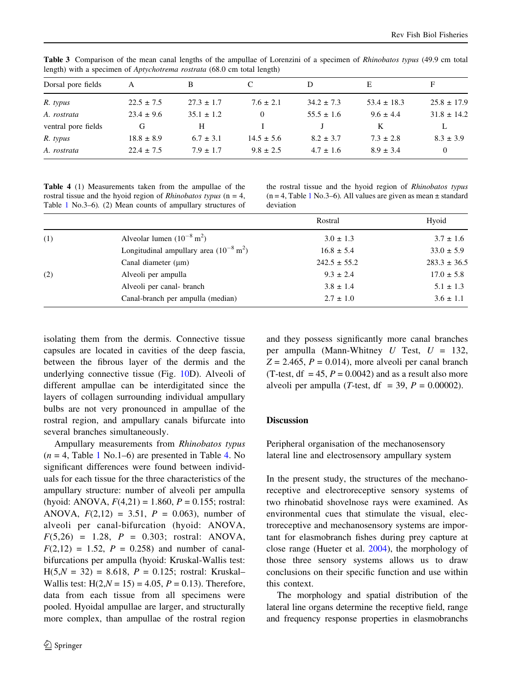| Dorsal pore fields  | А              | B              |                |                | E               |                 |
|---------------------|----------------|----------------|----------------|----------------|-----------------|-----------------|
| R. typus            | $22.5 \pm 7.5$ | $27.3 \pm 1.7$ | $7.6 \pm 2.1$  | $34.2 \pm 7.3$ | $53.4 \pm 18.3$ | $25.8 \pm 17.9$ |
| A. rostrata         | $23.4 \pm 9.6$ | $35.1 \pm 1.2$ | 0              | $55.5 \pm 1.6$ | $9.6 \pm 4.4$   | $31.8 \pm 14.2$ |
| ventral pore fields | G              | H              |                |                |                 |                 |
| R. typus            | $18.8 \pm 8.9$ | $6.7 \pm 3.1$  | $14.5 \pm 5.6$ | $8.2 \pm 3.7$  | $7.3 \pm 2.8$   | $8.3 \pm 3.9$   |
| A. rostrata         | $22.4 \pm 7.5$ | $7.9 \pm 1.7$  | $9.8 \pm 2.5$  | $4.7 \pm 1.6$  | $8.9 \pm 3.4$   | $\theta$        |
|                     |                |                |                |                |                 |                 |

<span id="page-11-0"></span>Table 3 Comparison of the mean canal lengths of the ampullae of Lorenzini of a specimen of Rhinobatos typus (49.9 cm total length) with a specimen of Aptychotrema rostrata (68.0 cm total length)

Table 4 (1) Measurements taken from the ampullae of the rostral tissue and the hyoid region of *Rhinobatos typus* ( $n = 4$ , Table [1](#page-2-0) No.3–6). (2) Mean counts of ampullary structures of the rostral tissue and the hyoid region of Rhinobatos typus  $(n = 4, Table 1 No.3–6)$  $(n = 4, Table 1 No.3–6)$  $(n = 4, Table 1 No.3–6)$ . All values are given as mean  $\pm$  standard deviation

|     |                                                     | Rostral          | Hyoid            |
|-----|-----------------------------------------------------|------------------|------------------|
| (1) | Alveolar lumen $(10^{-8} \text{ m}^2)$              | $3.0 \pm 1.3$    | $3.7 \pm 1.6$    |
|     | Longitudinal ampullary area $(10^{-8} \text{ m}^2)$ | $16.8 \pm 5.4$   | $33.0 \pm 5.9$   |
|     | Canal diameter $(\mu m)$                            | $242.5 \pm 55.2$ | $283.3 \pm 36.5$ |
| (2) | Alveoli per ampulla                                 | $9.3 \pm 2.4$    | $17.0 \pm 5.8$   |
|     | Alveoli per canal- branch                           | $3.8 \pm 1.4$    | $5.1 \pm 1.3$    |
|     | Canal-branch per ampulla (median)                   | $2.7 \pm 1.0$    | $3.6 \pm 1.1$    |

isolating them from the dermis. Connective tissue capsules are located in cavities of the deep fascia, between the fibrous layer of the dermis and the underlying connective tissue (Fig. [10](#page-12-0)D). Alveoli of different ampullae can be interdigitated since the layers of collagen surrounding individual ampullary bulbs are not very pronounced in ampullae of the rostral region, and ampullary canals bifurcate into several branches simultaneously.

Ampullary measurements from Rhinobatos typus  $(n = 4,$  Table [1](#page-2-0) No.1–6) are presented in Table 4. No significant differences were found between individuals for each tissue for the three characteristics of the ampullary structure: number of alveoli per ampulla (hyoid: ANOVA,  $F(4,21) = 1.860$ ,  $P = 0.155$ ; rostral: ANOVA,  $F(2,12) = 3.51$ ,  $P = 0.063$ ), number of alveoli per canal-bifurcation (hyoid: ANOVA,  $F(5,26) = 1.28$ ,  $P = 0.303$ ; rostral: ANOVA,  $F(2,12) = 1.52$ ,  $P = 0.258$  and number of canalbifurcations per ampulla (hyoid: Kruskal-Wallis test:  $H(5,N = 32) = 8.618$ ,  $P = 0.125$ ; rostral: Kruskal– Wallis test:  $H(2,N = 15) = 4.05$ ,  $P = 0.13$ ). Therefore, data from each tissue from all specimens were pooled. Hyoidal ampullae are larger, and structurally more complex, than ampullae of the rostral region

and they possess significantly more canal branches per ampulla (Mann-Whitney  $U$  Test,  $U = 132$ ,  $Z = 2.465$ ,  $P = 0.014$ ), more alveoli per canal branch (T-test,  $df = 45$ ,  $P = 0.0042$ ) and as a result also more alveoli per ampulla (*T*-test, df = 39,  $P = 0.00002$ ).

## **Discussion**

Peripheral organisation of the mechanosensory lateral line and electrosensory ampullary system

In the present study, the structures of the mechanoreceptive and electroreceptive sensory systems of two rhinobatid shovelnose rays were examined. As environmental cues that stimulate the visual, electroreceptive and mechanosensory systems are important for elasmobranch fishes during prey capture at close range (Hueter et al. [2004\)](#page-16-0), the morphology of those three sensory systems allows us to draw conclusions on their specific function and use within this context.

The morphology and spatial distribution of the lateral line organs determine the receptive field, range and frequency response properties in elasmobranchs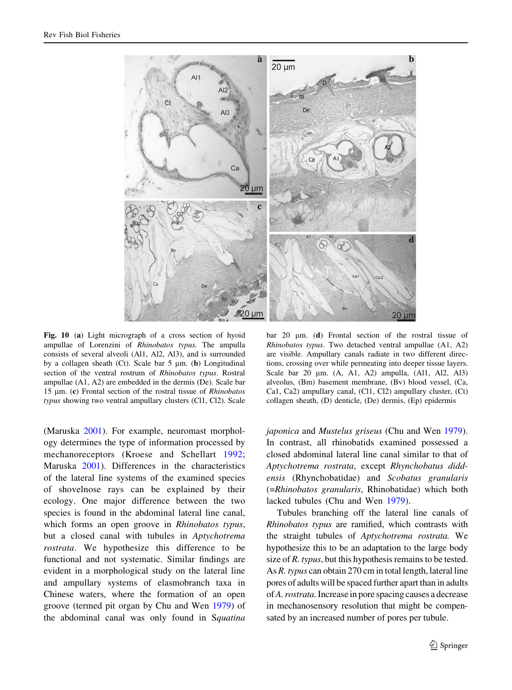<span id="page-12-0"></span>

Fig. 10 (a) Light micrograph of a cross section of hyoid ampullae of Lorenzini of Rhinobatos typus. The ampulla consists of several alveoli (Al1, Al2, Al3), and is surrounded by a collagen sheath (Ct). Scale bar  $5 \mu m$ . (b) Longitudinal section of the ventral rostrum of *Rhinobatos typus*. Rostral ampullae (A1, A2) are embedded in the dermis (De). Scale bar 15  $\mu$ m. (c) Frontal section of the rostral tissue of *Rhinobatos* typus showing two ventral ampullary clusters (Cl1, Cl2). Scale

(Maruska [2001](#page-16-0)). For example, neuromast morphology determines the type of information processed by mechanoreceptors (Kroese and Schellart [1992](#page-16-0); Maruska [2001\)](#page-16-0). Differences in the characteristics of the lateral line systems of the examined species of shovelnose rays can be explained by their ecology. One major difference between the two species is found in the abdominal lateral line canal, which forms an open groove in *Rhinobatos typus*, but a closed canal with tubules in Aptychotrema rostrata. We hypothesize this difference to be functional and not systematic. Similar findings are evident in a morphological study on the lateral line and ampullary systems of elasmobranch taxa in Chinese waters, where the formation of an open groove (termed pit organ by Chu and Wen [1979](#page-15-0)) of the abdominal canal was only found in Squatina

bar 20  $\mu$ m. (d) Frontal section of the rostral tissue of Rhinobatos typus. Two detached ventral ampullae (A1, A2) are visible. Ampullary canals radiate in two different directions, crossing over while permeating into deeper tissue layers. Scale bar 20  $\mu$ m. (A, A1, A2) ampulla, (Al1, Al2, Al3) alveolus, (Bm) basement membrane, (Bv) blood vessel, (Ca, Ca1, Ca2) ampullary canal, (Cl1, Cl2) ampullary cluster, (Ct) collagen sheath, (D) denticle, (De) dermis, (Ep) epidermis

japonica and Mustelus griseus (Chu and Wen [1979](#page-15-0)). In contrast, all rhinobatids examined possessed a closed abdominal lateral line canal similar to that of Aptychotrema rostrata, except Rhynchobatus diddensis (Rhynchobatidae) and Scobatus granularis (=Rhinobatos granularis, Rhinobatidae) which both lacked tubules (Chu and Wen [1979](#page-15-0)).

Tubules branching off the lateral line canals of Rhinobatos typus are ramified, which contrasts with the straight tubules of Aptychotrema rostrata. We hypothesize this to be an adaptation to the large body size of R. typus, but this hypothesis remains to be tested. As R. typus can obtain 270 cm in total length, lateral line pores of adults will be spaced further apart than in adults ofA. rostrata.Increase in pore spacing causes a decrease in mechanosensory resolution that might be compensated by an increased number of pores per tubule.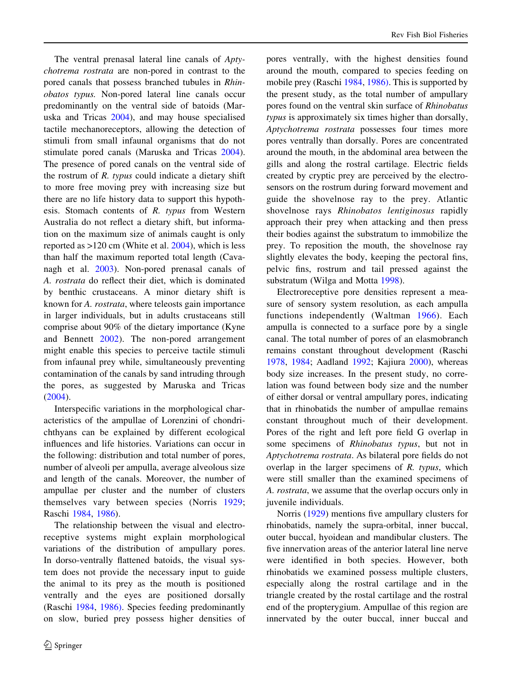The ventral prenasal lateral line canals of Aptychotrema rostrata are non-pored in contrast to the pored canals that possess branched tubules in Rhinobatos typus. Non-pored lateral line canals occur predominantly on the ventral side of batoids (Maruska and Tricas [2004\)](#page-16-0), and may house specialised tactile mechanoreceptors, allowing the detection of stimuli from small infaunal organisms that do not stimulate pored canals (Maruska and Tricas [2004](#page-16-0)). The presence of pored canals on the ventral side of the rostrum of  $R$ . typus could indicate a dietary shift to more free moving prey with increasing size but there are no life history data to support this hypothesis. Stomach contents of R. typus from Western Australia do not reflect a dietary shift, but information on the maximum size of animals caught is only reported as >120 cm (White et al. [2004](#page-17-0)), which is less than half the maximum reported total length (Cavanagh et al. [2003\)](#page-15-0). Non-pored prenasal canals of A. rostrata do reflect their diet, which is dominated by benthic crustaceans. A minor dietary shift is known for A. rostrata, where teleosts gain importance in larger individuals, but in adults crustaceans still comprise about 90% of the dietary importance (Kyne and Bennett [2002](#page-16-0)). The non-pored arrangement might enable this species to perceive tactile stimuli from infaunal prey while, simultaneously preventing contamination of the canals by sand intruding through the pores, as suggested by Maruska and Tricas [\(2004](#page-16-0)).

Interspecific variations in the morphological characteristics of the ampullae of Lorenzini of chondrichthyans can be explained by different ecological influences and life histories. Variations can occur in the following: distribution and total number of pores, number of alveoli per ampulla, average alveolous size and length of the canals. Moreover, the number of ampullae per cluster and the number of clusters themselves vary between species (Norris [1929](#page-16-0); Raschi [1984](#page-16-0), [1986](#page-16-0)).

The relationship between the visual and electroreceptive systems might explain morphological variations of the distribution of ampullary pores. In dorso-ventrally flattened batoids, the visual system does not provide the necessary input to guide the animal to its prey as the mouth is positioned ventrally and the eyes are positioned dorsally (Raschi [1984,](#page-16-0) [1986\)](#page-16-0). Species feeding predominantly on slow, buried prey possess higher densities of pores ventrally, with the highest densities found around the mouth, compared to species feeding on mobile prey (Raschi [1984](#page-16-0), [1986\)](#page-16-0). This is supported by the present study, as the total number of ampullary pores found on the ventral skin surface of Rhinobatus typus is approximately six times higher than dorsally, Aptychotrema rostrata possesses four times more pores ventrally than dorsally. Pores are concentrated around the mouth, in the abdominal area between the gills and along the rostral cartilage. Electric fields created by cryptic prey are perceived by the electrosensors on the rostrum during forward movement and guide the shovelnose ray to the prey. Atlantic shovelnose rays Rhinobatos lentiginosus rapidly approach their prey when attacking and then press their bodies against the substratum to immobilize the prey. To reposition the mouth, the shovelnose ray slightly elevates the body, keeping the pectoral fins, pelvic fins, rostrum and tail pressed against the substratum (Wilga and Motta [1998\)](#page-17-0).

Electroreceptive pore densities represent a measure of sensory system resolution, as each ampulla functions independently (Waltman [1966\)](#page-17-0). Each ampulla is connected to a surface pore by a single canal. The total number of pores of an elasmobranch remains constant throughout development (Raschi [1978,](#page-16-0) [1984](#page-16-0); Aadland [1992](#page-15-0); Kajiura [2000\)](#page-16-0), whereas body size increases. In the present study, no correlation was found between body size and the number of either dorsal or ventral ampullary pores, indicating that in rhinobatids the number of ampullae remains constant throughout much of their development. Pores of the right and left pore field G overlap in some specimens of Rhinobatus typus, but not in Aptychotrema rostrata. As bilateral pore fields do not overlap in the larger specimens of R. typus, which were still smaller than the examined specimens of A. rostrata, we assume that the overlap occurs only in juvenile individuals.

Norris ([1929\)](#page-16-0) mentions five ampullary clusters for rhinobatids, namely the supra-orbital, inner buccal, outer buccal, hyoidean and mandibular clusters. The five innervation areas of the anterior lateral line nerve were identified in both species. However, both rhinobatids we examined possess multiple clusters, especially along the rostral cartilage and in the triangle created by the rostal cartilage and the rostral end of the propterygium. Ampullae of this region are innervated by the outer buccal, inner buccal and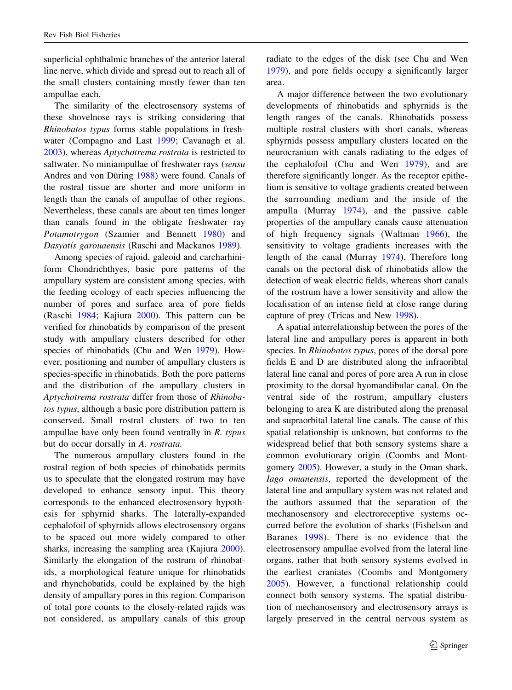superficial ophthalmic branches of the anterior lateral line nerve, which divide and spread out to reach all of the small clusters containing mostly fewer than ten ampullae each.

The similarity of the electrosensory systems of these shovelnose rays is striking considering that Rhinobatos typus forms stable populations in freshwater (Compagno and Last [1999;](#page-15-0) Cavanagh et al. [2003\)](#page-15-0), whereas Aptychotrema rostrata is restricted to saltwater. No miniampullae of freshwater rays (sensu Andres and von Düring [1988\)](#page-15-0) were found. Canals of the rostral tissue are shorter and more uniform in length than the canals of ampullae of other regions. Nevertheless, these canals are about ten times longer than canals found in the obligate freshwater ray Potamotrygon (Szamier and Bennett [1980](#page-16-0)) and Dasyatis garouaensis (Raschi and Mackanos [1989](#page-16-0)).

Among species of rajoid, galeoid and carcharhiniform Chondrichthyes, basic pore patterns of the ampullary system are consistent among species, with the feeding ecology of each species influencing the number of pores and surface area of pore fields (Raschi [1984;](#page-16-0) Kajiura [2000](#page-16-0)). This pattern can be verified for rhinobatids by comparison of the present study with ampullary clusters described for other species of rhinobatids (Chu and Wen [1979](#page-15-0)). However, positioning and number of ampullary clusters is species-specific in rhinobatids. Both the pore patterns and the distribution of the ampullary clusters in Aptychotrema rostrata differ from those of Rhinobatos typus, although a basic pore distribution pattern is conserved. Small rostral clusters of two to ten ampullae have only been found ventrally in R. typus but do occur dorsally in A. rostrata.

The numerous ampullary clusters found in the rostral region of both species of rhinobatids permits us to speculate that the elongated rostrum may have developed to enhance sensory input. This theory corresponds to the enhanced electrosensory hypothesis for sphyrnid sharks. The laterally-expanded cephalofoil of sphyrnids allows electrosensory organs to be spaced out more widely compared to other sharks, increasing the sampling area (Kajiura [2000](#page-16-0)). Similarly the elongation of the rostrum of rhinobatids, a morphological feature unique for rhinobatids and rhynchobatids, could be explained by the high density of ampullary pores in this region. Comparison of total pore counts to the closely-related rajids was not considered, as ampullary canals of this group radiate to the edges of the disk (see Chu and Wen [1979\)](#page-15-0), and pore fields occupy a significantly larger area.

A major difference between the two evolutionary developments of rhinobatids and sphyrnids is the length ranges of the canals. Rhinobatids possess multiple rostral clusters with short canals, whereas sphyrnids possess ampullary clusters located on the neurocranium with canals radiating to the edges of the cephalofoil (Chu and Wen [1979](#page-15-0)), and are therefore significantly longer. As the receptor epithelium is sensitive to voltage gradients created between the surrounding medium and the inside of the ampulla (Murray [1974\)](#page-16-0), and the passive cable properties of the ampullary canals cause attenuation of high frequency signals (Waltman [1966](#page-17-0)), the sensitivity to voltage gradients increases with the length of the canal (Murray [1974\)](#page-16-0). Therefore long canals on the pectoral disk of rhinobatids allow the detection of weak electric fields, whereas short canals of the rostrum have a lower sensitivity and allow the localisation of an intense field at close range during capture of prey (Tricas and New [1998](#page-16-0)).

A spatial interrelationship between the pores of the lateral line and ampullary pores is apparent in both species. In Rhinobatos typus, pores of the dorsal pore fields E and D are distributed along the infraoribtal lateral line canal and pores of pore area A run in close proximity to the dorsal hyomandibular canal. On the ventral side of the rostrum, ampullary clusters belonging to area K are distributed along the prenasal and supraorbital lateral line canals. The cause of this spatial relationship is unknown, but conforms to the widespread belief that both sensory systems share a common evolutionary origin (Coombs and Montgomery [2005\)](#page-16-0). However, a study in the Oman shark, Iago omanensis, reported the development of the lateral line and ampullary system was not related and the authors assumed that the separation of the mechanosensory and electroreceptive systems occurred before the evolution of sharks (Fishelson and Baranes [1998\)](#page-16-0). There is no evidence that the electrosensory ampullae evolved from the lateral line organs, rather that both sensory systems evolved in the earliest craniates (Coombs and Montgomery [2005](#page-16-0)). However, a functional relationship could connect both sensory systems. The spatial distribution of mechanosensory and electrosensory arrays is largely preserved in the central nervous system as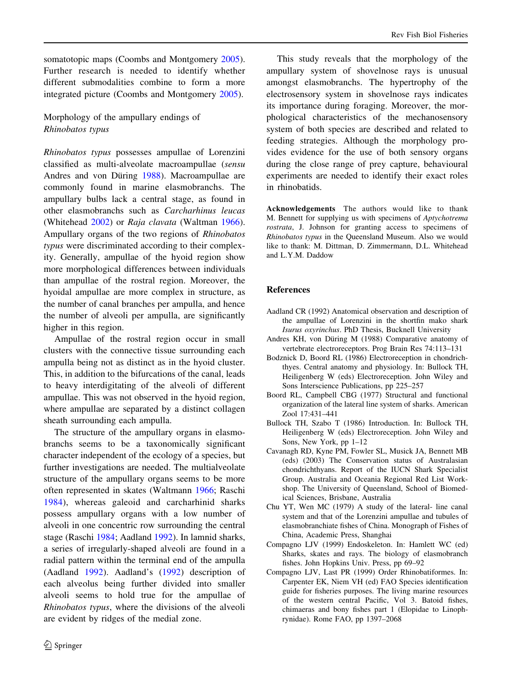<span id="page-15-0"></span>somatotopic maps (Coombs and Montgomery [2005](#page-16-0)). Further research is needed to identify whether different submodalities combine to form a more integrated picture (Coombs and Montgomery [2005\)](#page-16-0).

Morphology of the ampullary endings of Rhinobatos typus

Rhinobatos typus possesses ampullae of Lorenzini classified as multi-alveolate macroampullae (sensu Andres and von Düring 1988). Macroampullae are commonly found in marine elasmobranchs. The ampullary bulbs lack a central stage, as found in other elasmobranchs such as Carcharhinus leucas (Whitehead [2002](#page-17-0)) or Raja clavata (Waltman [1966](#page-17-0)). Ampullary organs of the two regions of Rhinobatos typus were discriminated according to their complexity. Generally, ampullae of the hyoid region show more morphological differences between individuals than ampullae of the rostral region. Moreover, the hyoidal ampullae are more complex in structure, as the number of canal branches per ampulla, and hence the number of alveoli per ampulla, are significantly higher in this region.

Ampullae of the rostral region occur in small clusters with the connective tissue surrounding each ampulla being not as distinct as in the hyoid cluster. This, in addition to the bifurcations of the canal, leads to heavy interdigitating of the alveoli of different ampullae. This was not observed in the hyoid region, where ampullae are separated by a distinct collagen sheath surrounding each ampulla.

The structure of the ampullary organs in elasmobranchs seems to be a taxonomically significant character independent of the ecology of a species, but further investigations are needed. The multialveolate structure of the ampullary organs seems to be more often represented in skates (Waltmann [1966;](#page-17-0) Raschi [1984](#page-16-0)), whereas galeoid and carcharhinid sharks possess ampullary organs with a low number of alveoli in one concentric row surrounding the central stage (Raschi [1984;](#page-16-0) Aadland 1992). In lamnid sharks, a series of irregularly-shaped alveoli are found in a radial pattern within the terminal end of the ampulla (Aadland 1992). Aadland's (1992) description of each alveolus being further divided into smaller alveoli seems to hold true for the ampullae of Rhinobatos typus, where the divisions of the alveoli are evident by ridges of the medial zone.

This study reveals that the morphology of the ampullary system of shovelnose rays is unusual amongst elasmobranchs. The hypertrophy of the electrosensory system in shovelnose rays indicates its importance during foraging. Moreover, the morphological characteristics of the mechanosensory system of both species are described and related to feeding strategies. Although the morphology provides evidence for the use of both sensory organs during the close range of prey capture, behavioural experiments are needed to identify their exact roles in rhinobatids.

Acknowledgements The authors would like to thank M. Bennett for supplying us with specimens of Aptychotrema rostrata, J. Johnson for granting access to specimens of Rhinobatos typus in the Queensland Museum. Also we would like to thank: M. Dittman, D. Zimmermann, D.L. Whitehead and L.Y.M. Daddow

# References

- Aadland CR (1992) Anatomical observation and description of the ampullae of Lorenzini in the shortfin mako shark Isurus oxyrinchus. PhD Thesis, Bucknell University
- Andres KH, von Düring M (1988) Comparative anatomy of vertebrate electroreceptors. Prog Brain Res 74:113–131
- Bodznick D, Boord RL (1986) Electroreception in chondrichthyes. Central anatomy and physiology. In: Bullock TH, Heiligenberg W (eds) Electroreception. John Wiley and Sons Interscience Publications, pp 225–257
- Boord RL, Campbell CBG (1977) Structural and functional organization of the lateral line system of sharks. American Zool 17:431–441
- Bullock TH, Szabo T (1986) Introduction. In: Bullock TH, Heiligenberg W (eds) Electroreception. John Wiley and Sons, New York, pp 1–12
- Cavanagh RD, Kyne PM, Fowler SL, Musick JA, Bennett MB (eds) (2003) The Conservation status of Australasian chondrichthyans. Report of the IUCN Shark Specialist Group. Australia and Oceania Regional Red List Workshop. The University of Queensland, School of Biomedical Sciences, Brisbane, Australia
- Chu YT, Wen MC (1979) A study of the lateral- line canal system and that of the Lorenzini ampullae and tubules of elasmobranchiate fishes of China. Monograph of Fishes of China, Academic Press, Shanghai
- Compagno LJV (1999) Endoskeleton. In: Hamlett WC (ed) Sharks, skates and rays. The biology of elasmobranch fishes. John Hopkins Univ. Press, pp 69–92
- Compagno LJV, Last PR (1999) Order Rhinobatiformes. In: Carpenter EK, Niem VH (ed) FAO Species identification guide for fisheries purposes. The living marine resources of the western central Pacific, Vol 3. Batoid fishes, chimaeras and bony fishes part 1 (Elopidae to Linophrynidae). Rome FAO, pp 1397–2068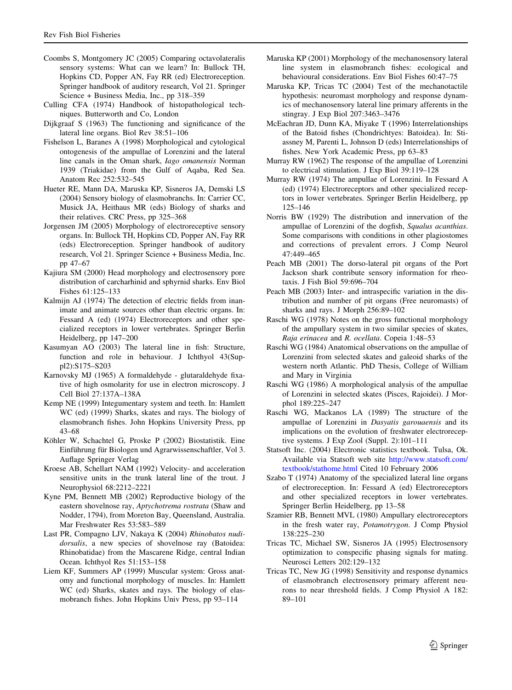- <span id="page-16-0"></span>Coombs S, Montgomery JC (2005) Comparing octavolateralis sensory systems: What can we learn? In: Bullock TH, Hopkins CD, Popper AN, Fay RR (ed) Electroreception. Springer handbook of auditory research, Vol 21. Springer Science + Business Media, Inc., pp 318–359
- Culling CFA (1974) Handbook of histopathological techniques. Butterworth and Co, London
- Dijkgraaf S (1963) The functioning and significance of the lateral line organs. Biol Rev 38:51–106
- Fishelson L, Baranes A (1998) Morphological and cytological ontogenesis of the ampullae of Lorenzini and the lateral line canals in the Oman shark, Iago omanensis Norman 1939 (Triakidae) from the Gulf of Aqaba, Red Sea. Anatom Rec 252:532–545
- Hueter RE, Mann DA, Maruska KP, Sisneros JA, Demski LS (2004) Sensory biology of elasmobranchs. In: Carrier CC, Musick JA, Heithaus MR (eds) Biology of sharks and their relatives. CRC Press, pp 325–368
- Jorgensen JM (2005) Morphology of electroreceptive sensory organs. In: Bullock TH, Hopkins CD, Popper AN, Fay RR (eds) Electroreception. Springer handbook of auditory research, Vol 21. Springer Science + Business Media, Inc. pp 47–67
- Kajiura SM (2000) Head morphology and electrosensory pore distribution of carcharhinid and sphyrnid sharks. Env Biol Fishes 61:125–133
- Kalmijn AJ (1974) The detection of electric fields from inanimate and animate sources other than electric organs. In: Fessard A (ed) (1974) Electroreceptors and other specialized receptors in lower vertebrates. Springer Berlin Heidelberg, pp 147–200
- Kasumyan AO (2003) The lateral line in fish: Structure, function and role in behaviour. J Ichthyol 43(Suppl2):S175–S203
- Karnovsky MJ (1965) A formaldehyde glutaraldehyde fixative of high osmolarity for use in electron microscopy. J Cell Biol 27:137A–138A
- Kemp NE (1999) Integumentary system and teeth. In: Hamlett WC (ed) (1999) Sharks, skates and rays. The biology of elasmobranch fishes. John Hopkins University Press, pp 43–68
- Köhler W, Schachtel G, Proske P (2002) Biostatistik. Eine Einführung für Biologen und Agrarwissenschaftler, Vol 3. Auflage Springer Verlag
- Kroese AB, Schellart NAM (1992) Velocity- and acceleration sensitive units in the trunk lateral line of the trout. J Neurophysiol 68:2212–2221
- Kyne PM, Bennett MB (2002) Reproductive biology of the eastern shovelnose ray, Aptychotrema rostrata (Shaw and Nodder, 1794), from Moreton Bay, Queensland, Australia. Mar Freshwater Res 53:583–589
- Last PR, Compagno LJV, Nakaya K (2004) Rhinobatos nudidorsalis, a new species of shovelnose ray (Batoidea: Rhinobatidae) from the Mascarene Ridge, central Indian Ocean. Ichthyol Res 51:153–158
- Liem KF, Summers AP (1999) Muscular system: Gross anatomy and functional morphology of muscles. In: Hamlett WC (ed) Sharks, skates and rays. The biology of elasmobranch fishes. John Hopkins Univ Press, pp 93–114
- Maruska KP (2001) Morphology of the mechanosensory lateral line system in elasmobranch fishes: ecological and behavioural considerations. Env Biol Fishes 60:47–75
- Maruska KP, Tricas TC (2004) Test of the mechanotactile hypothesis: neuromast morphology and response dynamics of mechanosensory lateral line primary afferents in the stingray. J Exp Biol 207:3463–3476
- McEachran JD, Dunn KA, Miyake T (1996) Interrelationships of the Batoid fishes (Chondrichtyes: Batoidea). In: Stiassney M, Parenti L, Johnson D (eds) Interrelationships of fishes. New York Academic Press, pp 63–83
- Murray RW (1962) The response of the ampullae of Lorenzini to electrical stimulation. J Exp Biol 39:119–128
- Murray RW (1974) The ampullae of Lorenzini. In Fessard A (ed) (1974) Electroreceptors and other specialized receptors in lower vertebrates. Springer Berlin Heidelberg, pp 125–146
- Norris BW (1929) The distribution and innervation of the ampullae of Lorenzini of the dogfish, Squalus acanthias. Some comparisons with conditions in other plagiostomes and corrections of prevalent errors. J Comp Neurol 47:449–465
- Peach MB (2001) The dorso-lateral pit organs of the Port Jackson shark contribute sensory information for rheotaxis. J Fish Biol 59:696–704
- Peach MB (2003) Inter- and intraspecific variation in the distribution and number of pit organs (Free neuromasts) of sharks and rays. J Morph 256:89–102
- Raschi WG (1978) Notes on the gross functional morphology of the ampullary system in two similar species of skates, Raja erinacea and R. ocellata. Copeia 1:48–53
- Raschi WG (1984) Anatomical observations on the ampullae of Lorenzini from selected skates and galeoid sharks of the western north Atlantic. PhD Thesis, College of William and Mary in Virginia
- Raschi WG (1986) A morphological analysis of the ampullae of Lorenzini in selected skates (Pisces, Rajoidei). J Morphol 189:225–247
- Raschi WG, Mackanos LA (1989) The structure of the ampullae of Lorenzini in Dasyatis garouaensis and its implications on the evolution of freshwater electroreceptive systems. J Exp Zool (Suppl. 2):101–111
- Statsoft Inc. (2004) Electronic statistics textbook. Tulsa, Ok. Available via Statsoft web site [http://www.statsoft.com/](http://www.statsoft.com/textbook/stathome.html) [textbook/stathome.html](http://www.statsoft.com/textbook/stathome.html) Cited 10 February 2006
- Szabo T (1974) Anatomy of the specialized lateral line organs of electroreception. In: Fessard A (ed) Electroreceptors and other specialized receptors in lower vertebrates. Springer Berlin Heidelberg, pp 13–58
- Szamier RB, Bennett MVL (1980) Ampullary electroreceptors in the fresh water ray, Potamotrygon. J Comp Physiol 138:225–230
- Tricas TC, Michael SW, Sisneros JA (1995) Electrosensory optimization to conspecific phasing signals for mating. Neurosci Letters 202:129–132
- Tricas TC, New JG (1998) Sensitivity and response dynamics of elasmobranch electrosensory primary afferent neurons to near threshold fields. J Comp Physiol A 182: 89–101